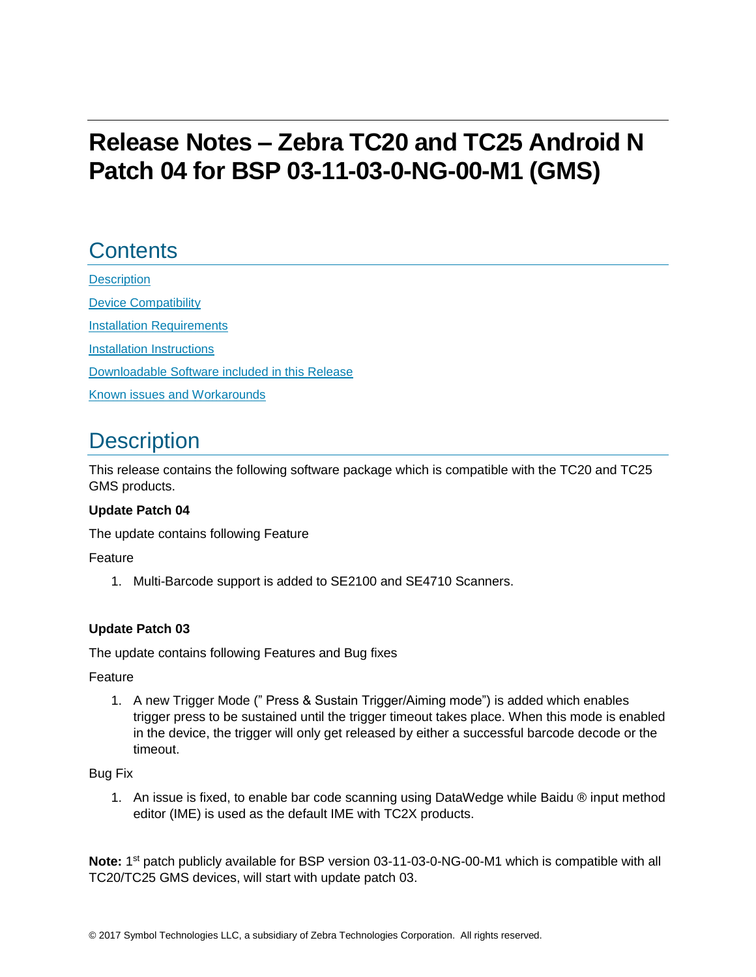# **Release Notes – Zebra TC20 and TC25 Android N Patch 04 for BSP 03-11-03-0-NG-00-M1 (GMS)**

# **Contents**

**[Description](#page-0-0)** [Device Compatibility](#page-1-0) **[Installation Requirements](#page-2-0)** [Installation Instructions](#page-2-1) [Downloadable Software included in this Release](#page-4-0)  Known issues [and](#page-4-1) Workarounds

## <span id="page-0-0"></span>**Description**

This release contains the following software package which is compatible with the TC20 and TC25 GMS products.

#### **Update Patch 04**

The update contains following Feature

Feature

1. Multi-Barcode support is added to SE2100 and SE4710 Scanners.

#### **Update Patch 03**

The update contains following Features and Bug fixes

Feature

1. A new Trigger Mode (" Press & Sustain Trigger/Aiming mode") is added which enables trigger press to be sustained until the trigger timeout takes place. When this mode is enabled in the device, the trigger will only get released by either a successful barcode decode or the timeout.

#### Bug Fix

1. An issue is fixed, to enable bar code scanning using DataWedge while Baidu ® input method editor (IME) is used as the default IME with TC2X products.

Note: 1<sup>st</sup> patch publicly available for BSP version 03-11-03-0-NG-00-M1 which is compatible with all TC20/TC25 GMS devices, will start with update patch 03.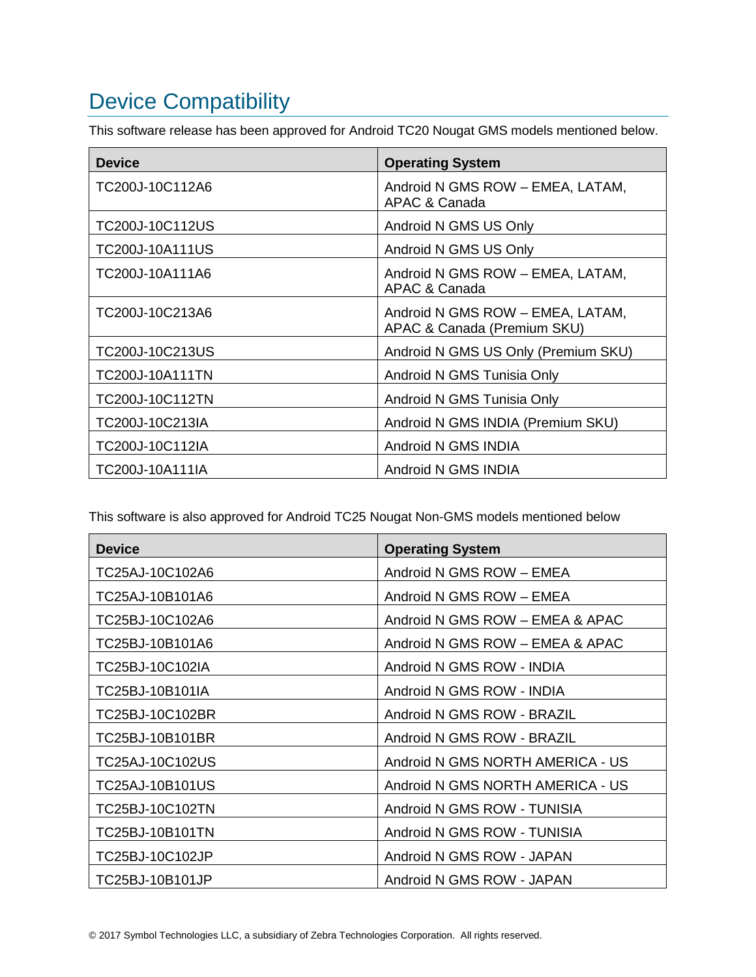# <span id="page-1-0"></span>Device Compatibility

This software release has been approved for Android TC20 Nougat GMS models mentioned below.

| <b>Device</b>          | <b>Operating System</b>                                         |
|------------------------|-----------------------------------------------------------------|
| TC200J-10C112A6        | Android N GMS ROW - EMEA, LATAM,<br>APAC & Canada               |
| TC200J-10C112US        | Android N GMS US Only                                           |
| TC200J-10A111US        | Android N GMS US Only                                           |
| TC200J-10A111A6        | Android N GMS ROW - EMEA, LATAM,<br>APAC & Canada               |
| TC200J-10C213A6        | Android N GMS ROW - EMEA, LATAM,<br>APAC & Canada (Premium SKU) |
| TC200J-10C213US        | Android N GMS US Only (Premium SKU)                             |
| <b>TC200J-10A111TN</b> | Android N GMS Tunisia Only                                      |
| TC200J-10C112TN        | Android N GMS Tunisia Only                                      |
| TC200J-10C213IA        | Android N GMS INDIA (Premium SKU)                               |
| TC200J-10C112IA        | Android N GMS INDIA                                             |
| TC200J-10A111IA        | Android N GMS INDIA                                             |

This software is also approved for Android TC25 Nougat Non-GMS models mentioned below

| <b>Device</b>   | <b>Operating System</b>          |
|-----------------|----------------------------------|
| TC25AJ-10C102A6 | Android N GMS ROW - EMEA         |
| TC25AJ-10B101A6 | Android N GMS ROW - EMEA         |
| TC25BJ-10C102A6 | Android N GMS ROW - EMEA & APAC  |
| TC25BJ-10B101A6 | Android N GMS ROW - EMEA & APAC  |
| TC25BJ-10C102IA | Android N GMS ROW - INDIA        |
| TC25BJ-10B101IA | Android N GMS ROW - INDIA        |
| TC25BJ-10C102BR | Android N GMS ROW - BRAZIL       |
| TC25BJ-10B101BR | Android N GMS ROW - BRAZIL       |
| TC25AJ-10C102US | Android N GMS NORTH AMERICA - US |
| TC25AJ-10B101US | Android N GMS NORTH AMERICA - US |
| TC25BJ-10C102TN | Android N GMS ROW - TUNISIA      |
| TC25BJ-10B101TN | Android N GMS ROW - TUNISIA      |
| TC25BJ-10C102JP | Android N GMS ROW - JAPAN        |
| TC25BJ-10B101JP | Android N GMS ROW - JAPAN        |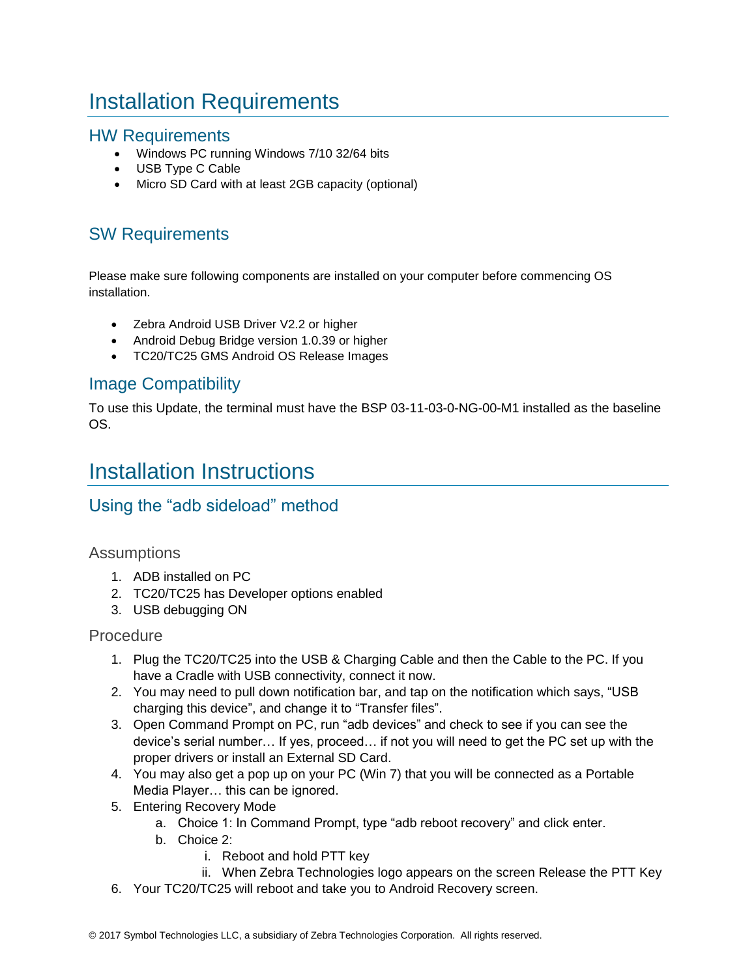# <span id="page-2-0"></span>Installation Requirements

### HW Requirements

- Windows PC running Windows 7/10 32/64 bits
- USB Type C Cable
- Micro SD Card with at least 2GB capacity (optional)

### SW Requirements

Please make sure following components are installed on your computer before commencing OS installation.

- Zebra Android USB Driver V2.2 or higher
- Android Debug Bridge version 1.0.39 or higher
- TC20/TC25 GMS Android OS Release Images

### Image Compatibility

To use this Update, the terminal must have the BSP 03-11-03-0-NG-00-M1 installed as the baseline OS.

## <span id="page-2-1"></span>Installation Instructions

### Using the "adb sideload" method

#### **Assumptions**

- 1. ADB installed on PC
- 2. TC20/TC25 has Developer options enabled
- 3. USB debugging ON

#### Procedure

- 1. Plug the TC20/TC25 into the USB & Charging Cable and then the Cable to the PC. If you have a Cradle with USB connectivity, connect it now.
- 2. You may need to pull down notification bar, and tap on the notification which says, "USB charging this device", and change it to "Transfer files".
- 3. Open Command Prompt on PC, run "adb devices" and check to see if you can see the device's serial number… If yes, proceed… if not you will need to get the PC set up with the proper drivers or install an External SD Card.
- 4. You may also get a pop up on your PC (Win 7) that you will be connected as a Portable Media Player… this can be ignored.
- 5. Entering Recovery Mode
	- a. Choice 1: In Command Prompt, type "adb reboot recovery" and click enter.
	- b. Choice 2:
		- i. Reboot and hold PTT key
		- ii. When Zebra Technologies logo appears on the screen Release the PTT Key
- 6. Your TC20/TC25 will reboot and take you to Android Recovery screen.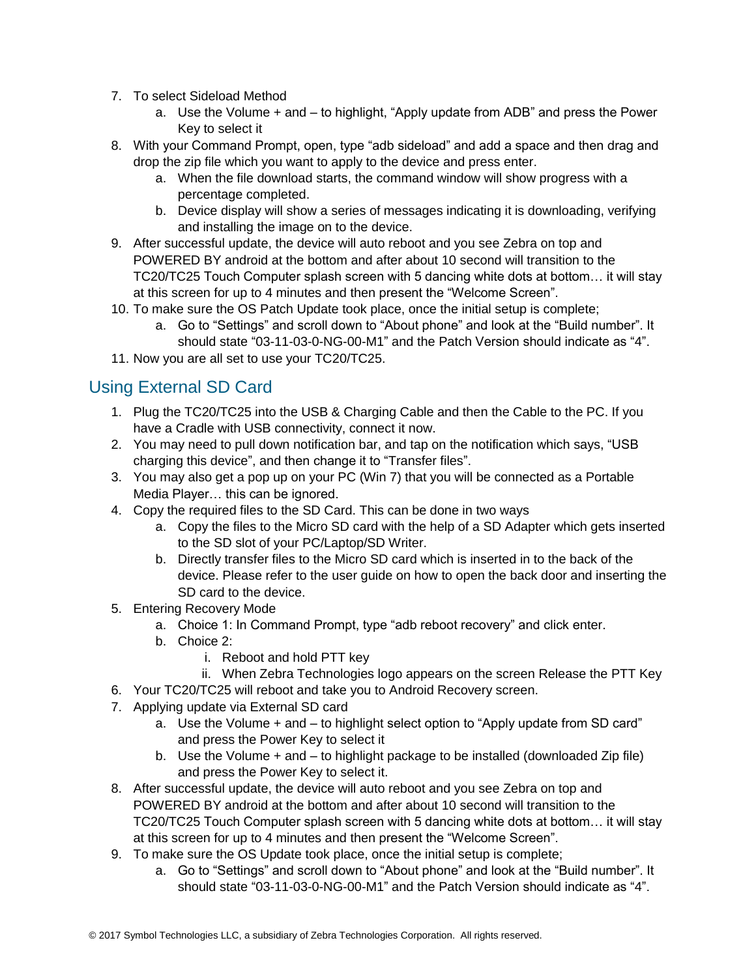- 7. To select Sideload Method
	- a. Use the Volume + and to highlight, "Apply update from ADB" and press the Power Key to select it
- 8. With your Command Prompt, open, type "adb sideload" and add a space and then drag and drop the zip file which you want to apply to the device and press enter.
	- a. When the file download starts, the command window will show progress with a percentage completed.
	- b. Device display will show a series of messages indicating it is downloading, verifying and installing the image on to the device.
- 9. After successful update, the device will auto reboot and you see Zebra on top and POWERED BY android at the bottom and after about 10 second will transition to the TC20/TC25 Touch Computer splash screen with 5 dancing white dots at bottom… it will stay at this screen for up to 4 minutes and then present the "Welcome Screen".
- 10. To make sure the OS Patch Update took place, once the initial setup is complete;
	- a. Go to "Settings" and scroll down to "About phone" and look at the "Build number". It should state "03-11-03-0-NG-00-M1" and the Patch Version should indicate as "4".
- 11. Now you are all set to use your TC20/TC25.

### Using External SD Card

- 1. Plug the TC20/TC25 into the USB & Charging Cable and then the Cable to the PC. If you have a Cradle with USB connectivity, connect it now.
- 2. You may need to pull down notification bar, and tap on the notification which says, "USB charging this device", and then change it to "Transfer files".
- 3. You may also get a pop up on your PC (Win 7) that you will be connected as a Portable Media Player… this can be ignored.
- 4. Copy the required files to the SD Card. This can be done in two ways
	- a. Copy the files to the Micro SD card with the help of a SD Adapter which gets inserted to the SD slot of your PC/Laptop/SD Writer.
	- b. Directly transfer files to the Micro SD card which is inserted in to the back of the device. Please refer to the user guide on how to open the back door and inserting the SD card to the device.
- 5. Entering Recovery Mode
	- a. Choice 1: In Command Prompt, type "adb reboot recovery" and click enter.
	- b. Choice 2:
		- i. Reboot and hold PTT key
		- ii. When Zebra Technologies logo appears on the screen Release the PTT Key
- 6. Your TC20/TC25 will reboot and take you to Android Recovery screen.
- 7. Applying update via External SD card
	- a. Use the Volume + and to highlight select option to "Apply update from SD card" and press the Power Key to select it
	- b. Use the Volume + and to highlight package to be installed (downloaded Zip file) and press the Power Key to select it.
- 8. After successful update, the device will auto reboot and you see Zebra on top and POWERED BY android at the bottom and after about 10 second will transition to the TC20/TC25 Touch Computer splash screen with 5 dancing white dots at bottom… it will stay at this screen for up to 4 minutes and then present the "Welcome Screen".
- 9. To make sure the OS Update took place, once the initial setup is complete;
	- a. Go to "Settings" and scroll down to "About phone" and look at the "Build number". It should state "03-11-03-0-NG-00-M1" and the Patch Version should indicate as "4".